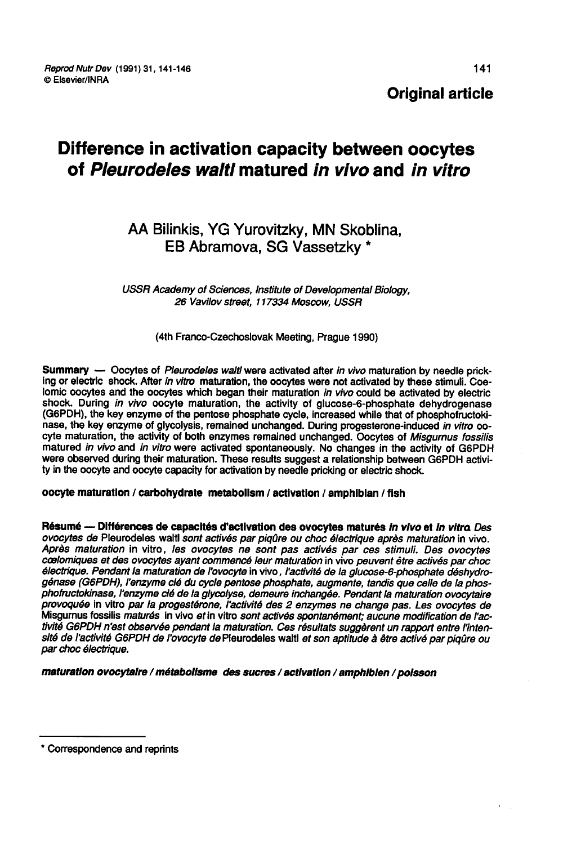Original article

# Difference in activation capacity between oocytes of Pleurodeles waltl matured in vivo and in vitro

## AA Bilinkis, YG Yurovitzky, MN Skoblina, EB Abramova, SG Vassetzky \*

USSR Academy of Sciences, Institute of Developmental Biology, 26 vavilov street, 117334 Moscow, USSR

(4th Franco-Czechoslovak Meeting, Prague 1990)

Summary — Oocytes of Pleurodeles waltl were activated after in vivo maturation by needle pricking or electric shock. After in vitro maturation, the oocytes were not activated by these stimuli. Coelomic oocytes and the oocytes which began their maturation in vivo could be activated by electric shock. During in vivo oocyte maturation, the activity of glucose-6-phosphate dehydrogenase (G6PDH), the key enzyme of the pentose phosphate cycle, increased while that of phosphofructokinase, the key enzyme of glycolysis, remained unchanged. During progesterone-induced in vitro oocyte maturation, the activity of both enzymes remained unchanged. Oocytes of Misgurnus fossilis matured in vivo and in vitro were activated spontaneously. No changes in the activity of G6PDH were observed during their maturation. These results suggest a relationship between G6PDH activity in the oocyte and oocyte capacity for activation by needle pricking or electric shock.

oocyte maturation / carbohydrate metabolism / activation / amphibian / fish

Résumé — Différences de capacités d'activation des ovocytes maturés in vivo et in vitro Des ovocytes de Pleurodeles waltl sont activés par piqûre ou choc électrique après maturation in vivo. cœlomiques et des ovocytes ayant commencé leur maturation in vivo peuvent être activés par choc<br>électrique. Pendant la maturation de l'ovocyte in vivo , l'activité de la glucose-6-phosphate déshydrogénase (G6PDH), l'enzyme cié du cycle pentose phosphate, augmente, tandis que celle de la phos-<br>phofructokinase, l'enzyme cié de la glycolyse, demeure inchangée. Pendant la maturation ovocytaire<br>provoquée in vitro par la p Misgumus fossilis maturés in vivo et in vitro sont activés spontanément; aucune modification de l'activité G6PDH n'est observée pendant la maturation. Ces résultats suggèrent un rapport entre l'intensité de l'activité G6PDH de l'ovocyte de Pleurodeles waltl et son aptitude à être activé par piqûre ou par choc électrique.

maturatlon ovocytairo / métabollsme des sucres / activation / amphlblen / poisson

<sup>\*</sup> Correspondence and reprints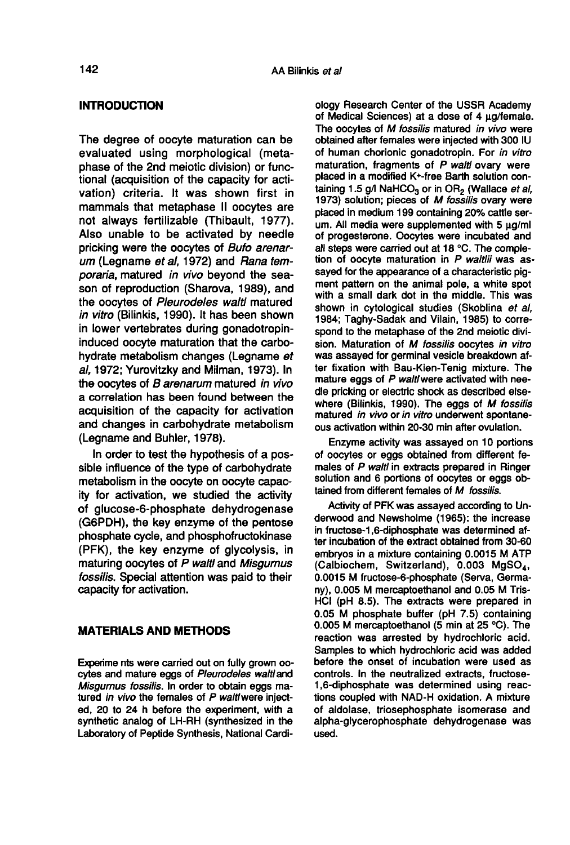#### INTRODUCTION

The degree of oocyte maturation can be evaluated using morphological (metaphase of the 2nd meiotic division) or functional (acquisition of the capacity for activation) criteria. It was shown first in mammals that metaphase II oocytes are not always fertilizable (Thibault, 1977). Also unable to be activated by needle pricking were the oocytes of Bufo arenarum (Legname et al, 1972) and Rana temporaria, matured in vivo beyond the season of reproduction (Sharova, 1989), and the oocytes of Pleurodeles waltl matured in vitro (Bilinkis, 1990). It has been shown in lower vertebrates during gonadotropininduced oocyte maturation that the carbohydrate metabolism changes (Legname et al, 1972; Yurovitzky and Milman, 1973). In the oocytes of B arenarum matured in vivo a correlation has been found between the acquisition of the capacity for activation and changes in carbohydrate metabolism (Legname and Buhler, 1978).

In order to test the hypothesis of a possible influence of the type of carbohydrate metabolism in the oocyte on oocyte capacity for activation, we studied the activity of glucose-6-phosphate dehydrogenase (G6PDH), the key enzyme of the pentose phosphate cycle, and phosphofructokinase (PFK), the key enzyme of glycolysis, in maturing oocytes of P waltl and Misgurnus fossilis. Special attention was paid to their capacity for activation.

### MATERIALS AND METHODS

Experime nts were carried out on fully grown oocytes and mature eggs of Pleurodeles waltl and Misgurnus fossilis. In order to obtain eggs matured in vivo the females of P waltlwere injected, 20 to 24 h before the experiment, with a synthetic analog of LH-RH (synthesized in the Laboratory of Peptide Synthesis, National Cardi-

ology Research Center of the USSR Academy of Medical Sciences) at a dose of 4  $\mu$ g/female. The oocytes of M fossilis matured in vivo were obtained after females were injected with 300 IU of human chorionic gonadotropin. For in vitro maturation, fragments of P waltl ovary were placed in a modified K+-free Barth solution containing 1.5  $g/$  NaHCO<sub>3</sub> or in OR<sub>2</sub> (Wallace *et al.*) of human chorionic gonadotropin. For in vitro<br>maturation, fragments of P waltl ovary were<br>placed in a modified K+-free Barth solution con-<br>taining 1.5 g/l NaHCO<sub>3</sub> or in OR<sub>2</sub> (Wallace *et al*,<br>1973) solution; pieces of 1973) solution; pieces of M fossilis ovary were placed in medium 199 containing 20% cattle serum. All media were supplemented with  $5 \mu q$ ml of progesterone. Oocytes were incubated and<br>all steps were carried out at 18 °C. The completion of oocyte maturation in  $P$  waltlii was assayed for the appearance of a characteristic pig-<br>ment pattern on the animal pole, a white spot with a small dark dot in the middle. This was shown in cytological studies (Skoblina et al. 1984; Taghy-Sadak and Vilain, 1985) to correspond to the metaphase of the 2nd meiotic division. Maturation of M fossilis oocytes in vitro was assayed for germinal vesicle breakdown after fixation with Bau-Kien-Tenig mixture. The mature eggs of P waltl were activated with needle pricking or electric shock as described elsewhere (Bilinkis, 1990). The eggs of M fossilis matured in vivo or in vitro underwent spontane ous activation within 20-30 min after ovulation.

Enzyme activity was assayed on 10 portions of oocytes or eggs obtained from different females of P waltl in extracts prepared in Ringer solution and 6 portions of oocytes or eggs obtained from different females of M fossilis.

Activity of PFK was assayed according to Underwood and Newsholme (1965): the increase in fructose-1,6-diphosphate was determined after incubation of the extract obtained from 30-60 embryos in a mixture containing 0.0015 M ATP 0.0015 M (Calbiochem, -1,6-diphosphate was determined af-<br>tion of the extract obtained from 30-60<br>n a mixture containing 0.0015 M ATP<br>em, Switzerland), 0.003 MgSO<sub>4</sub>,<br>fructose-6-phosphate (Serva, Germany), 0.005 M mercaptoethanol and 0.05 M Tris-HCI (pH 8.5). The extracts were prepared in 0.05 M phosphate buffer (pH 7.5) containing 0.005 M mercaptoethanol (5 min at 25 °C). The reaction was arrested by hydrochloric acid. Samples to which hydrochloric acid was added before the onset of incubation were used as controls. In the neutralized extracts, fructose-1,6-diphosphate was determined using reactions coupled with NAD-H oxidation. A mixture of aldolase, triosephosphate isomerase and alpha-glycerophosphate dehydrogenase was used.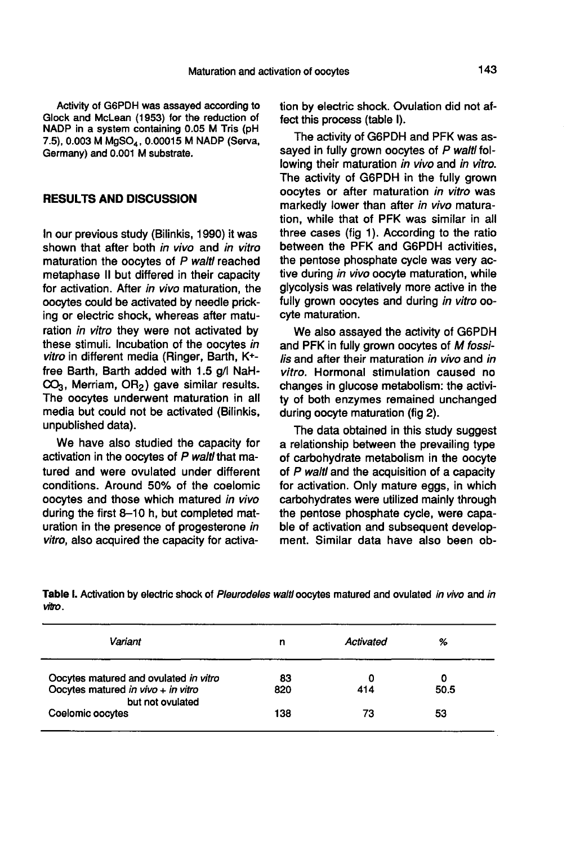Activity of G6PDH was assayed according to Glock and McLean (1953) for the reduction of NADP in a system containing 0.05 M Tris (pH 7.5), 0.003 M MgSO<sub>4</sub>, 0.00015 M NADP (Serva, Activity of G6PDH was assayed according to<br>Glock and McLean (1953) for the reduction of<br>NADP in a system containing 0.05 M Tris (pH<br>7.5), 0.003 M MgSO<sub>4</sub>, 0.00015 M NADP (Serva,<br>Germany) and 0.001 M substrate. Germany) and 0.001 M substrate.

#### RESULTS AND DISCUSSION

In our previous study (Bilinkis, 1990) it was shown that after both in vivo and in vitro maturation the oocytes of P waltl reached metaphase II but differed in their capacity for activation. After in vivo maturation, the oocytes could be activated by needle pricking or electric shock, whereas after maturation in vitro they were not activated by these stimuli. Incubation of the oocytes in vitro in different media (Ringer, Barth, K+ free Barth, Barth added with 1.5 g/I NaH*vito* in different media (ringer, barth, r--<br>free Barth, Barth added with 1.5 g/l NaH-<br>CO<sub>3</sub>, Merriam, OR<sub>2</sub>) gave similar results.<br>The oocytes underwent maturation in all The oocytes underwent maturation in all media but could not be activated (Bilinkis, unpublished data).

We have also studied the capacity for activation in the oocytes of P waltl that matured and were ovulated under different conditions. Around 50% of the coelomic oocytes and those which matured in vivo during the first 8-10 h, but completed maturation in the presence of progesterone in vitro, also acquired the capacity for activation by electric shock. Ovulation did not affect this process (table I).

The activity of G6PDH and PFK was assayed in fully grown oocytes of P waltl following their maturation in vivo and in vitro. The activity of G6PDH in the fully grown oocytes or after maturation in vitro was markedly lower than after in vivo maturation, while that of PFK was similar in all three cases (fig  $1$ ). According to the ratio between the PFK and G6PDH activities, the pentose phosphate cycle was very active during in vivo oocyte maturation, while glycolysis was relatively more active in the fully grown oocytes and during in vitro oocyte maturation.

We also assayed the activity of G6PDH and PFK in fully grown oocytes of M fossilis and after their maturation in vivo and in vitro. Hormonal stimulation caused no changes in glucose metabolism: the activity of both enzymes remained unchanged during oocyte maturation (fig 2).

The data obtained in this study suggest a relationship between the prevailing type of carbohydrate metabolism in the oocyte of P waltl and the acquisition of a capacity for activation. Only mature eggs, in which carbohydrates were utilized mainly through the pentose phosphate cycle, were capable of activation and subsequent development. Similar data have also been ob-

Table I. Activation by electric shock of Pleurodeles walti oocytes matured and ovulated in vivo and in vitro.

| Variant                                                | n   | Activated | %    |
|--------------------------------------------------------|-----|-----------|------|
| Oocytes matured and ovulated in vitro                  | 83  | 0         | 0    |
| Oocytes matured in vivo + in vitro<br>but not ovulated | 820 | 414       | 50.5 |
| Coelomic oocytes                                       | 138 | 73        | 53   |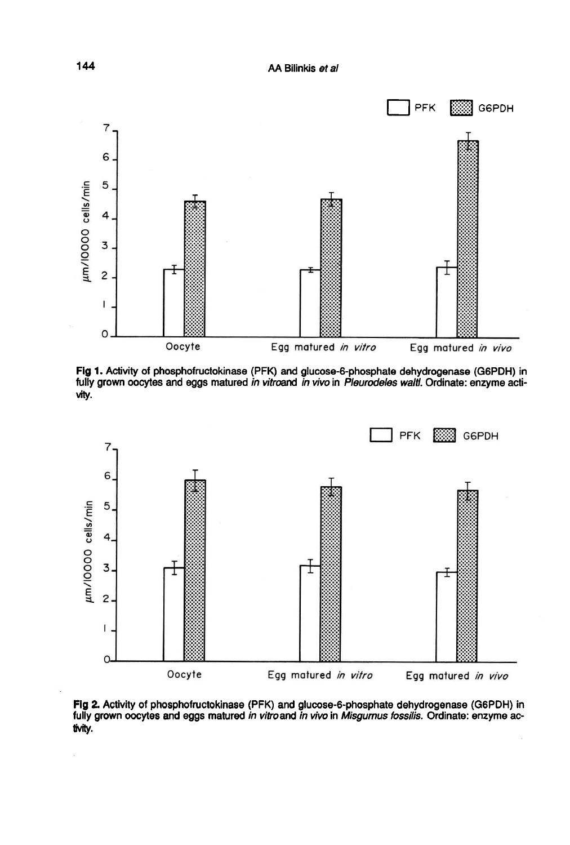

Fig 1. Activity of phosphofructokinase (PFK) and glucose-6-phosphate dehydrogenase (G6PDH) in fully grown oocytes and eggs matured in vitroand in vivo in Pleurodeles walt. Ordinate: enzyme activity.



Fig 2. Activity of phosphofructokinase (PFK) and glucose-6-phosphate dehydrogenase (G6PDH) in fully grown oocytes and eggs matured in vitroand in vivo in Misgurnus fossilis. Ordinate: enzyme activity.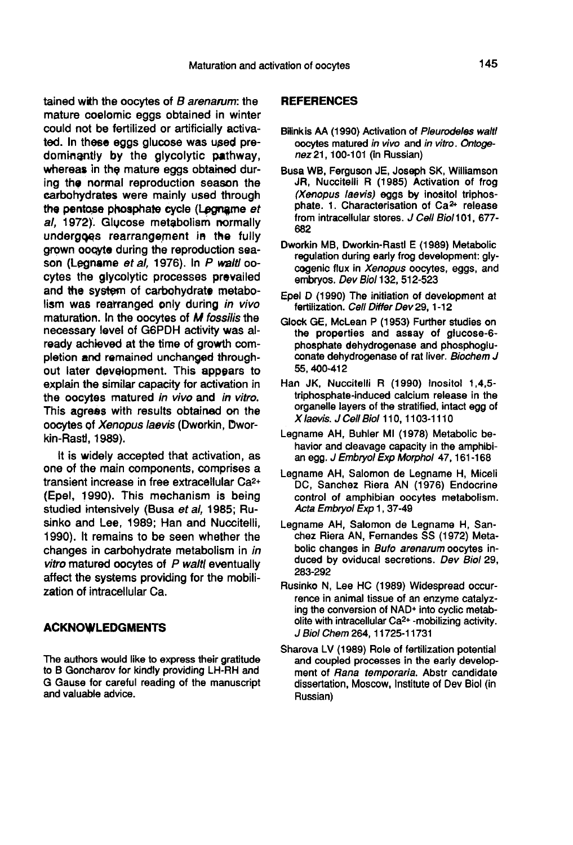tained with the oocytes of  $B$  arenarum: the mature coelomic eggs obtained in winter could not be fertilized or artificially activated. In these eggs glucose was used predominantly by the glycolytic pathway, whereas in the mature eggs obtained during the normal reproduction season the<br>carbohydrates were mainly used through<br>the pentose phosphate cycle (Legname *et*<br>al, 1972). Glycose metabolism normally<br>undergoes rearrangement in the fully carbohydrates were mainly used through the pentose phosphate cycle (Legname et<br>al. 1972). Glucose metabolism normally undergqes rearrangement in the fully grown oocyte during the reproduction season (Legname et al, 1976). In P waitl oocytes the glycolytic processes prevailed and the system of carbohydrate metabolism was rearranged only during in vivo maturation. In the oocytes of M fossilis the necessary level of G6PDH activity was already achieved at the time of growth completion and remained unchanged throughout later development. This appears to explain the similar capacity for activation in the oocytes matured in vivo and in vitro. This agrees with results obtained on the oocytes of Xenopus laevis (Dworkin, Dworkin-Rastl, 1989).

It is widely accepted that activation, as one of the main components, comprises a transient increase in free extracellular Ca2+ (Epel, 1990). This mechanism is being studied intensively (Busa et al, 1985; Rusinko and Lee, 1989; Han and Nuccitelli, 1990). It remains to be seen whether the changes in carbohydrate metabolism in in vitro matured oocytes of  $P$  waltl eventually affect the systems providing for the mobilization of intracellular Ca.

### ACKNOWLEDGMENTS

The authors would like to express their gratitude to B Goncharov for kindly providing LH-RH and G Gause for careful reading of the manuscript and valuable advice.

#### **REFERENCES**

- Bilink is AA (1990) Activation of Pleurodeles waltl oocytes matured in vivo and in vitro. Ontogenez 21, 100-101 (in Russian)
- Busa WB, Ferguson JE, Joseph SK, Williamson JR, Nuccitelli R (1985) Activation of frog (Xenopus laevis) eggs by inositol triphosphate. 1. Characterisation of  $Ca<sup>2+</sup>$  release from intracellular stores. J Cell Biol 101, 677-682
- Dworkin MB, Dworkin-Rastl E (1989) Metabolic regulation during early frog development: glycogenic flux in Xenopus oocytes, eggs, and embryos. Dev Biol 132, 512-523
- Epel D (1990) The initiation of development at fertilization. Cell Differ Dev 29, 1-12
- Glock GE, McLean P (1953) Further studies on the properties and assay of glucose-6-<br>phosphate dehydrogenase and phosphogluconate dehydrogenase of rat liver. Biochem J 55, 400-412
- Han JK, Nuccitelli R (1990) Inositol 1,4,5 triphosphate-induced calcium release in the organelle layers of the stratified, intact egg of X laevis. J Cell Biol 110, 1103-1110 0
- Legname AH, Buhler MI (1978) Metabolic bean egg. J Embryol Exp Morphol 47, 161-168
- Legname AH, Salomon de Legname H, Miceli DC, Sanchez Riera AN (1976) Endocrine control of amphibian oocytes metabolism. Acta Embryol Exp 1, 37-49
- Legname AH, Salomon de Legname H, Sanchez Riera AN, Fernandes SS (1972) Metabolic changes in Bufo arenarum oocytes induced by oviducal secretions. Dev Biol 29, 283-292
- Rusinko N, Lee HC (1989) Widespread occurrence in animal tissue of an enzyme catalyzrence in animal tissue of an enzyme catalyz-<br>ing the conversion of NAD+ into cyclic metab-<br>olite with intracellular Ca<sup>2+</sup> -mobilizing activity.<br>J Biol Chem 264, 11725-11731
- Sharova LV (1989) Role of fertilization potential and coupled processes in the early develop ment of Rana temporaria. Abstr candidate dissertation, Moscow, Institute of Dev Biol (in Russian)